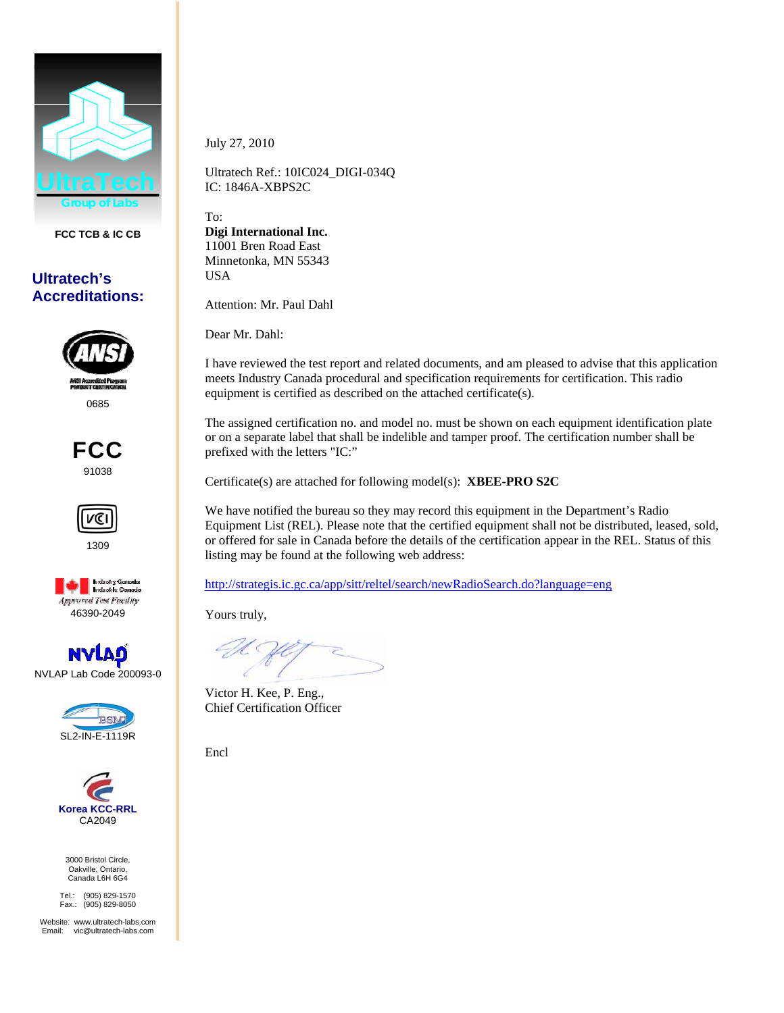

**FCC TCB & IC CB** 

## **Ultratech's Accreditations:**



0685







NVLAP Lab Code 200093-0





3000 Bristol Circle, Oakville, Ontario, Canada L6H 6G4

Tel.: (905) 829-1570 Fax.: (905) 829-8050

Website: www.ultratech-labs.com Email: vic@ultratech-labs.com

July 27, 2010

Ultratech Ref.: 10IC024\_DIGI-034Q IC: 1846A-XBPS2C

To: **Digi International Inc.**  11001 Bren Road East Minnetonka*,* MN 55343 USA

Attention: Mr. Paul Dahl

Dear Mr. Dahl:

I have reviewed the test report and related documents, and am pleased to advise that this application meets Industry Canada procedural and specification requirements for certification. This radio equipment is certified as described on the attached certificate(s).

The assigned certification no. and model no. must be shown on each equipment identification plate or on a separate label that shall be indelible and tamper proof. The certification number shall be prefixed with the letters "IC:"

Certificate(s) are attached for following model(s): **XBEE-PRO S2C**

We have notified the bureau so they may record this equipment in the Department's Radio Equipment List (REL). Please note that the certified equipment shall not be distributed, leased, sold, or offered for sale in Canada before the details of the certification appear in the REL. Status of this listing may be found at the following web address:

http://strategis.ic.gc.ca/app/sitt/reltel/search/newRadioSearch.do?language=eng

Yours truly,

Victor H. Kee, P. Eng., Chief Certification Officer

Encl